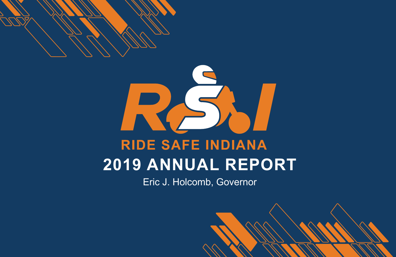

# **RIDE SAFE INDIANA 2019 ANNUAL REPORT**

Eric J. Holcomb, Governor

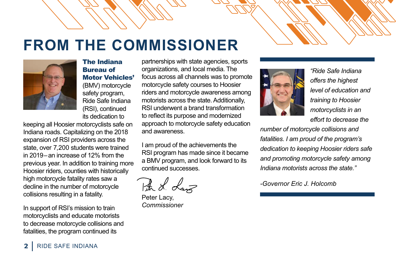## **FROM THE COMMISSIONER**



The Indiana Bureau of Motor Vehicles' (BMV) motorcycle safety program, Ride Safe Indiana (RSI), continued its dedication to

keeping all Hoosier motorcyclists safe on Indiana roads. Capitalizing on the 2018 expansion of RSI providers across the state, over 7,200 students were trained in 2019–an increase of 12% from the previous year. In addition to training more Hoosier riders, counties with historically high motorcycle fatality rates saw a decline in the number of motorcycle collisions resulting in a fatality.

In support of RSI's mission to train motorcyclists and educate motorists to decrease motorcycle collisions and fatalities, the program continued its

partnerships with state agencies, sports organizations, and local media. The focus across all channels was to promote motorcycle safety courses to Hoosier riders and motorcycle awareness among motorists across the state. Additionally, RSI underwent a brand transformation to reflect its purpose and modernized approach to motorcycle safety education and awareness.

I am proud of the achievements the RSI program has made since it became a BMV program, and look forward to its continued successes.

The I Land

Peter Lacy, *Commissioner*



*"Ride Safe Indiana offers the highest level of education and training to Hoosier motorcyclists in an effort to decrease the* 

*number of motorcycle collisions and fatalities. I am proud of the program's dedication to keeping Hoosier riders safe and promoting motorcycle safety among Indiana motorists across the state."* 

*-Governor Eric J. Holcomb*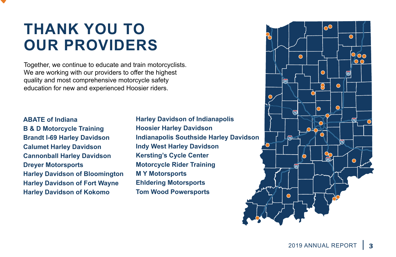## **THANK YOU TO OUR PROVIDERS**

Together, we continue to educate and train motorcyclists. We are working with our providers to offer the highest quality and most comprehensive motorcycle safety education for new and experienced Hoosier riders.

**ABATE of Indiana B & D Motorcycle Training Brandt I-69 Harley Davidson Calumet Harley Davidson Cannonball Harley Davidson Dreyer Motorsports Harley Davidson of Bloomington Harley Davidson of Fort Wayne Harley Davidson of Kokomo** 

**Harley Davidson of Indianapolis Hoosier Harley Davidson Indianapolis Southside Harley Davidson Indy West Harley Davidson Kersting's Cycle Center Motorcycle Rider Training M Y Motorsports Ehldering Motorsports Tom Wood Powersports**

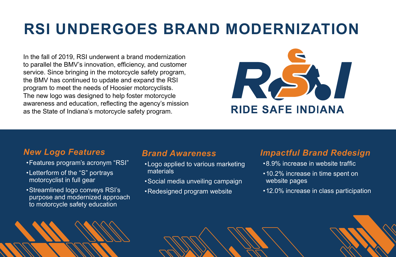## **RSI UNDERGOES BRAND MODERNIZATION**

In the fall of 2019, RSI underwent a brand modernization to parallel the BMV's innovation, efficiency, and customer service. Since bringing in the motorcycle safety program, the BMV has continued to update and expand the RSI program to meet the needs of Hoosier motorcyclists. The new logo was designed to help foster motorcycle awareness and education, reflecting the agency's mission as the State of Indiana's motorcycle safety program.



#### *New Logo Features*

- •Features program's acronym "RSI"
- •Letterform of the "S" portrays motorcyclist in full gear
- •Streamlined logo conveys RSI's purpose and modernized approach to motorcycle safety education

## **4** RIDE SAFE INDIANA

#### *Brand Awareness*

- •Logo applied to various marketing materials
- •Social media unveiling campaign
- •Redesigned program website

#### *Impactful Brand Redesign*

- •8.9% increase in website traffic
- •10.2% increase in time spent on website pages
- •12.0% increase in class participation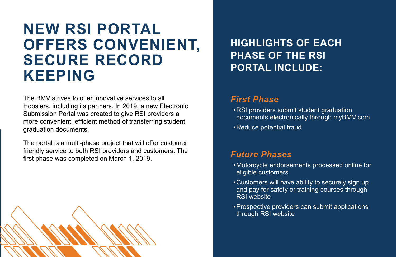## **NEW RSI PORTAL OFFERS CONVENIENT, SECURE RECORD KEEPING**

The BMV strives to offer innovative services to all Hoosiers, including its partners. In 2019, a new Electronic Submission Portal was created to give RSI providers a more convenient, efficient method of transferring student graduation documents.

The portal is a multi-phase project that will offer customer friendly service to both RSI providers and customers. The first phase was completed on March 1, 2019.



**HIGHLIGHTS OF EACH PHASE OF THE RSI PORTAL INCLUDE:** 

#### *First Phase*

- •RSI providers submit student graduation documents electronically through myBMV.com
- •Reduce potential fraud

#### *Future Phases*

- •Motorcycle endorsements processed online for eligible customers
- •Customers will have ability to securely sign up and pay for safety or training courses through RSI website
- •Prospective providers can submit applications through RSI website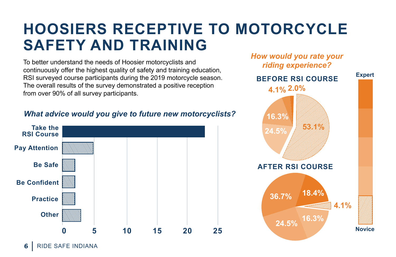## **HOOSIERS RECEPTIVE TO MOTORCYCLE SAFETY AND TRAINING**

To better understand the needs of Hoosier motorcyclists and continuously offer the highest quality of safety and training education, RSI surveyed course participants during the 2019 motorcycle season. The overall results of the survey demonstrated a positive reception from over 90% of all survey participants.

#### *What advice would you give to future new motorcyclists?*



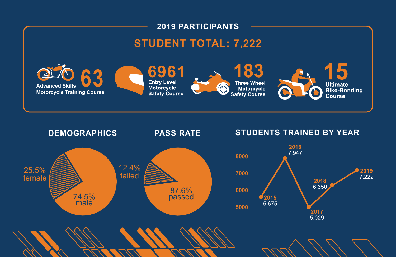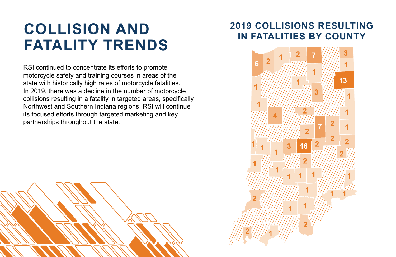## **COLLISION AND FATALITY TRENDS**

RSI continued to concentrate its efforts to promote motorcycle safety and training courses in areas of the state with historically high rates of motorcycle fatalities. In 2019, there was a decline in the number of motorcycle collisions resulting in a fatality in targeted areas, specifically Northwest and Southern Indiana regions. RSI will continue its focused efforts through targeted marketing and key partnerships throughout the state.

## **2019 COLLISIONS RESULTING IN FATALITIES BY COUNTY**

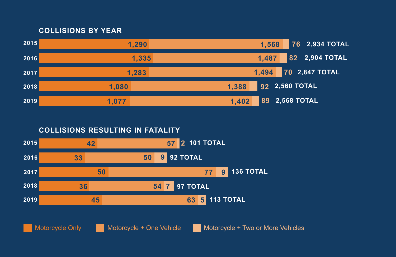#### **COLLISIONS BY YEAR**



**COLLISIONS RESULTING IN FATALITY**

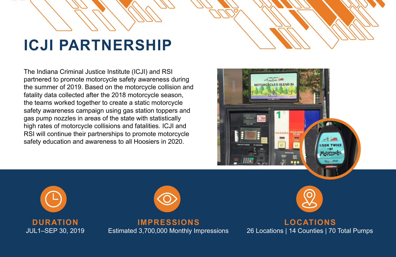## **ICJI PARTNERSHIP**



The Indiana Criminal Justice Institute (ICJI) and RSI partnered to promote motorcycle safety awareness during the summer of 2019. Based on the motorcycle collision and fatality data collected after the 2018 motorcycle season, the teams worked together to create a static motorcycle safety awareness campaign using gas station toppers and gas pump nozzles in areas of the state with statistically high rates of motorcycle collisions and fatalities. ICJI and RSI will continue their partnerships to promote motorcycle safety education and awareness to all Hoosiers in 2020.







**IMPRESSIONS** Estimated 3,700,000 Monthly Impressions



**LOCATIONS**  26 Locations | 14 Counties | 70 Total Pumps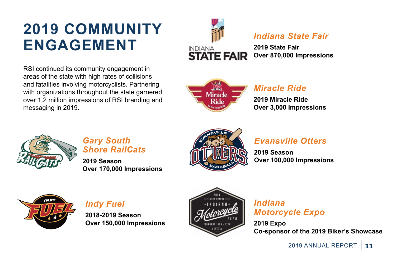## **2019 COMMUNITY ENGAGEMENT**

RSI continued its community engagement in areas of the state with high rates of collisions and fatalities involving motorcyclists. Partnering with organizations throughout the state garnered over 1.2 million impressions of RSI branding and messaging in 2019.



### *Indiana State Fair*

**2019 State Fair Over 870,000 Impressions**



## *Miracle Ride*

**2019 Miracle Ride Over 3,000 Impressions**



#### *Gary South Shore RailCats*

**2019 Season Over 170,000 Impressions**



## *Evansville Otters*

**2019 Season Over 100,000 Impressions**



*Indy Fuel* 

**2018-2019 Season Over 150,000 Impressions**



#### *Indiana Motorcycle Expo*

**2019 Expo Co-sponsor of the 2019 Biker's Showcase**